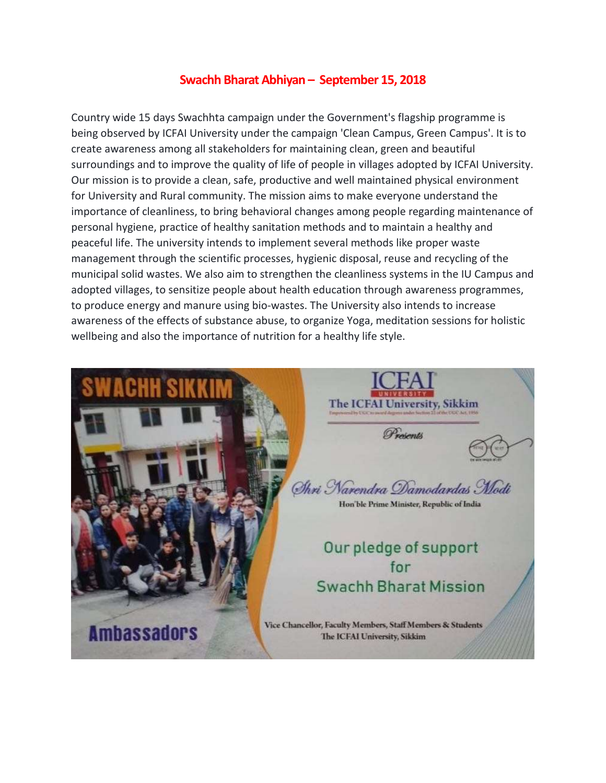## **Swachh Bharat Abhiyan – September 15, 2018**

Country wide 15 days Swachhta campaign under the Government's flagship programme is being observed by ICFAI University under the campaign 'Clean Campus, Green Campus'. It is to create awareness among all stakeholders for maintaining clean, green and beautiful surroundings and to improve the quality of life of people in villages adopted by ICFAI University. Our mission is to provide a clean, safe, productive and well maintained physical environment for University and Rural community. The mission aims to make everyone understand the importance of cleanliness, to bring behavioral changes among people regarding maintenance of personal hygiene, practice of healthy sanitation methods and to maintain a healthy and peaceful life. The university intends to implement several methods like proper waste management through the scientific processes, hygienic disposal, reuse and recycling of the municipal solid wastes. We also aim to strengthen the cleanliness systems in the IU Campus and adopted villages, to sensitize people about health education through awareness programmes, to produce energy and manure using bio-wastes. The University also intends to increase awareness of the effects of substance abuse, to organize Yoga, meditation sessions for holistic wellbeing and also the importance of nutrition for a healthy life style.